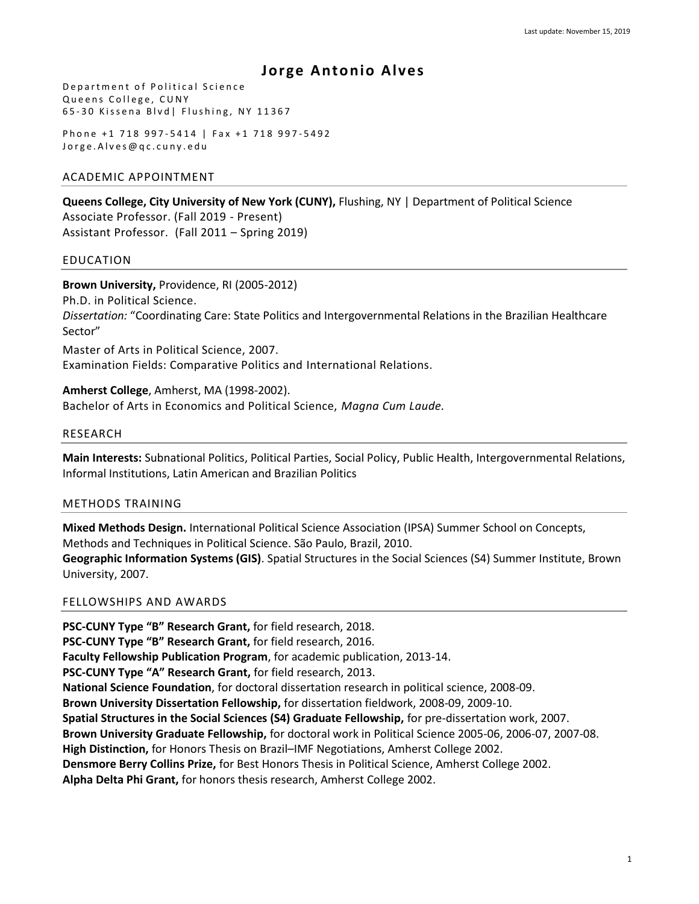# **Jor ge Antonio Alves**

Department of Political Science Queens College, CUNY 65-30 Kissena Blvd| Flushing, NY 11367

Phone +1 718 997-5414 | Fax +1 718 997-5492 Jorge. Alves@qc.cuny.edu

# ACADEMIC APPOINTMENT

**Queens College, City University of New York (CUNY),** Flushing, NY | Department of Political Science Associate Professor. (Fall 2019 - Present) Assistant Professor. (Fall 2011 – Spring 2019)

# EDUCATION

**Brown University,** Providence, RI (2005-2012) Ph.D. in Political Science. *Dissertation:* "Coordinating Care: State Politics and Intergovernmental Relations in the Brazilian Healthcare Sector" Master of Arts in Political Science, 2007. Examination Fields: Comparative Politics and International Relations.

**Amherst College**, Amherst, MA (1998-2002). Bachelor of Arts in Economics and Political Science, *Magna Cum Laude.*

# RESEARCH

**Main Interests:** Subnational Politics, Political Parties, Social Policy, Public Health, Intergovernmental Relations, Informal Institutions, Latin American and Brazilian Politics

# METHODS TRAINING

**Mixed Methods Design.** International Political Science Association (IPSA) Summer School on Concepts, Methods and Techniques in Political Science. São Paulo, Brazil, 2010.

**Geographic Information Systems (GIS)**. Spatial Structures in the Social Sciences (S4) Summer Institute, Brown University, 2007.

# FELLOWSHIPS AND AWARDS

**PSC-CUNY Type "B" Research Grant,** for field research, 2018. **PSC-CUNY Type "B" Research Grant,** for field research, 2016. **Faculty Fellowship Publication Program**, for academic publication, 2013-14. **PSC-CUNY Type "A" Research Grant,** for field research, 2013. **National Science Foundation**, for doctoral dissertation research in political science, 2008-09. **Brown University Dissertation Fellowship,** for dissertation fieldwork, 2008-09, 2009-10. **Spatial Structures in the Social Sciences (S4) Graduate Fellowship,** for pre-dissertation work, 2007. **Brown University Graduate Fellowship,** for doctoral work in Political Science 2005-06, 2006-07, 2007-08. **High Distinction,** for Honors Thesis on Brazil–IMF Negotiations, Amherst College 2002. **Densmore Berry Collins Prize,** for Best Honors Thesis in Political Science, Amherst College 2002. **Alpha Delta Phi Grant,** for honors thesis research, Amherst College 2002.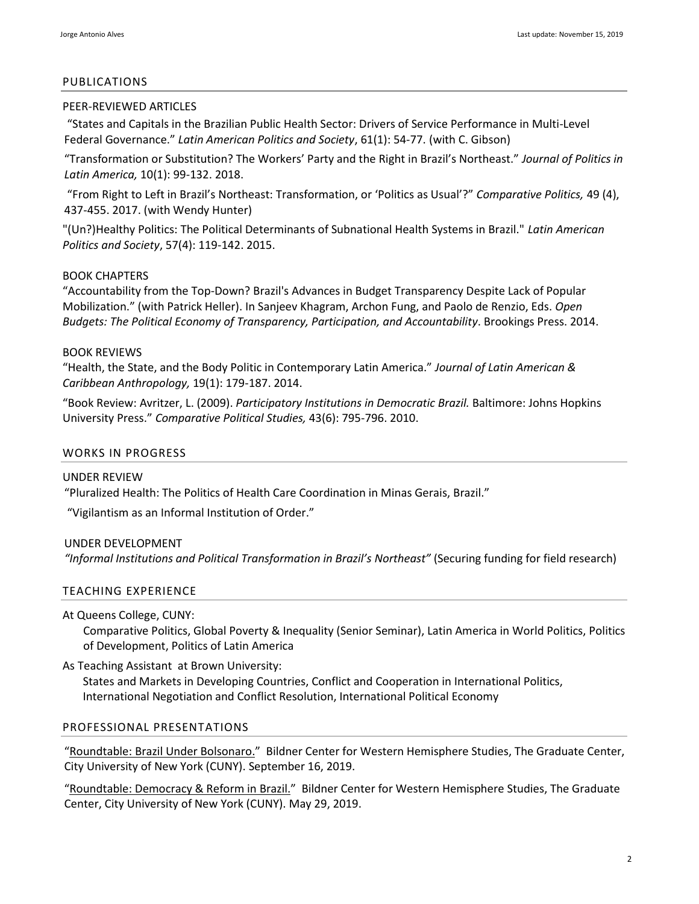#### PUBLICATIONS

## PEER-REVIEWED ARTICLES

["States and Capitals in the Brazilian Public Health Sector: Drivers of Service Performance in Multi](https://www.cambridge.org/core/journals/latin-american-politics-and-society/article/states-and-capitals-of-health-multilevel-health-governance-in-brazil/AB6AC6271C15F41C1E3B2267A3226933)-Level Federal Governance." *[Latin American Politics and Society](https://www.cambridge.org/core/journals/latin-american-politics-and-society/article/states-and-capitals-of-health-multilevel-health-governance-in-brazil/AB6AC6271C15F41C1E3B2267A3226933)*, 61(1): 54-77. (with C. Gibson)

"Transformation or Substitution? The Workers' Party and the Right in Brazil's Northeast." *Journal of Politics in Latin America,* 10(1): 99-132. 2018.

"From Right to Left in Brazil's Northeast: Transformation, or 'Politics as Usual'?" *Comparative Politics,* 49 (4), 437-455. 2017. (with Wendy Hunter)

["\(Un?\)Healthy Politics: The Political Determinants of Subnational Health Systems in Brazil."](http://onlinelibrary.wiley.com/doi/10.1111/j.1548-2456.2015.00292.x/abstract) *Latin American Politics and Society*, 57(4): 119-142. 2015.

# BOOK CHAPTERS

"[Accountability from the Top-Down? Brazil's Advances in Budget Transparency Despite Lack of Popular](http://jorgeantonioalves.files.wordpress.com/2013/10/alvesheller-2013.pdf)  [Mobilization."](http://jorgeantonioalves.files.wordpress.com/2013/10/alvesheller-2013.pdf) (with Patrick Heller). In Sanjeev Khagram, Archon Fung, and Paolo de Renzio, Eds. *Open Budgets: The Political Economy of Transparency, Participation, and Accountability*. Brookings Press. 2014.

## BOOK REVIEWS

["Health, the State, and the Body Politic in Contemporary Latin America."](http://onlinelibrary.wiley.com/doi/10.1111/jlca.12074/pdf) *Journal of Latin American & Caribbean Anthropology,* 19(1): 179-187. 2014.

"Book Review: Avritzer, L. (2009). *[Participatory Institutions in Democratic Brazil.](http://cps.sagepub.com/content/43/6/795.extract)* Baltimore: Johns Hopkins [University Press."](http://cps.sagepub.com/content/43/6/795.extract) *Comparative Political Studies,* 43(6): 795-796. 2010.

# WORKS IN PROGRESS

## UNDER REVIEW

"Pluralized Health: The Politics of Health Care Coordination in Minas Gerais, Brazil."

"Vigilantism as an Informal Institution of Order."

# UNDER DEVELOPMENT

*"Informal Institutions and Political Transformation in Brazil's Northeast"* (Securing funding for field research)

# TEACHING EXPERIENCE

At Queens College, CUNY:

Comparative Politics, Global Poverty & Inequality (Senior Seminar), Latin America in World Politics, Politics of Development, Politics of Latin America

As Teaching Assistant at Brown University:

States and Markets in Developing Countries, Conflict and Cooperation in International Politics, International Negotiation and Conflict Resolution, International Political Economy

#### PROFESSIONAL PRESENTATIONS

"Roundtable: [Brazil Under Bolsonaro.](https://youtu.be/kBti3mES2q4)" Bildner Center for Western Hemisphere Studies, The Graduate Center, City University of New York (CUNY). September 16, 2019.

"Roundtable: [Democracy & Reform in](https://youtu.be/QSBCqiXa_ZE) Brazil." Bildner Center for Western Hemisphere Studies, The Graduate Center, City University of New York (CUNY). May 29, 2019.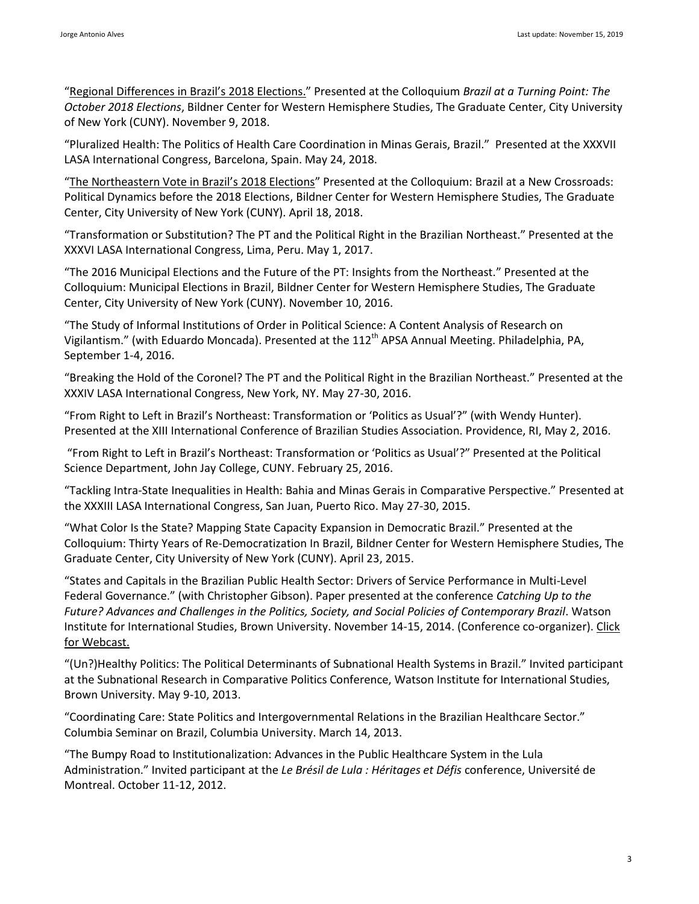"Regional [Differences in Brazil](https://youtu.be/7xOreD_1_ew?t=2028)'s 2018 Elections." Presented at the Colloquium *Brazil at a Turning Point: The October 2018 Elections*, Bildner Center for Western Hemisphere Studies, The Graduate Center, City University of New York (CUNY). November 9, 2018.

"Pluralized Health: The Politics of Health Care Coordination in Minas Gerais, Brazil." Presented at the XXXVII LASA International Congress, Barcelona, Spain. May 24, 2018.

"The Nor[theastern Vote in Brazil's 2018 Elections"](https://youtu.be/Ph_D_vGD-n8?t=1846) Presented at the Colloquium: Brazil at a New Crossroads: Political Dynamics before the 2018 Elections, Bildner Center for Western Hemisphere Studies, The Graduate Center, City University of New York (CUNY). April 18, 2018.

"Transformation or Substitution? The PT and the Political Right in the Brazilian Northeast." Presented at the XXXVI LASA International Congress, Lima, Peru. May 1, 2017.

"The 2016 Municipal Elections and the Future of the PT: Insights from the Northeast." Presented at the Colloquium: Municipal Elections in Brazil, Bildner Center for Western Hemisphere Studies, The Graduate Center, City University of New York (CUNY). November 10, 2016.

"The Study of Informal Institutions of Order in Political Science: A Content Analysis of Research on Vigilantism." (with Eduardo Moncada). Presented at the 112<sup>th</sup> APSA Annual Meeting. Philadelphia, PA, September 1-4, 2016.

"Breaking the Hold of the Coronel? The PT and the Political Right in the Brazilian Northeast." Presented at the XXXIV LASA International Congress, New York, NY. May 27-30, 2016.

"From Right to Left in Brazil's Northeast: Transformation or 'Politics as Usual'?" (with Wendy Hunter). Presented at the XIII International Conference of Brazilian Studies Association. Providence, RI, May 2, 2016.

"From Right to Left in Brazil's Northeast: Transformation or 'Politics as Usual'?" Presented at the Political Science Department, John Jay College, CUNY. February 25, 2016.

"Tackling Intra-State Inequalities in Health: Bahia and Minas Gerais in Comparative Perspective." Presented at the XXXIII LASA International Congress, San Juan, Puerto Rico. May 27-30, 2015.

"What Color Is the State? Mapping State Capacity Expansion in Democratic Brazil." Presented at the Colloquium: Thirty Years of Re-Democratization In Brazil, Bildner Center for Western Hemisphere Studies, The Graduate Center, City University of New York (CUNY). April 23, 2015.

"States and Capitals in the Brazilian Public Health Sector: Drivers of Service Performance in Multi-Level Federal Governance." (with Christopher Gibson). Paper presented at the conference *Catching Up to the Future? Advances and Challenges in the Politics, Society, and Social Policies of Contemporary Brazil*. Watson Institute for International Studies, Brown University. November 14-15, 2014. (Conference co-organizer). Click [for Webcast.](http://goo.gl/YQ8PoA)

"(Un?)Healthy Politics: The Political Determinants of Subnational Health Systems in Brazil." Invited participant at the Subnational Research in Comparative Politics Conference, Watson Institute for International Studies, Brown University. May 9-10, 2013.

"Coordinating Care: State Politics and Intergovernmental Relations in the Brazilian Healthcare Sector." Columbia Seminar on Brazil, Columbia University. March 14, 2013.

"The Bumpy Road to Institutionalization: Advances in the Public Healthcare System in the Lula Administration." Invited participant at the *Le Brésil de Lula : Héritages et Défis* conference, Université de Montreal. October 11-12, 2012.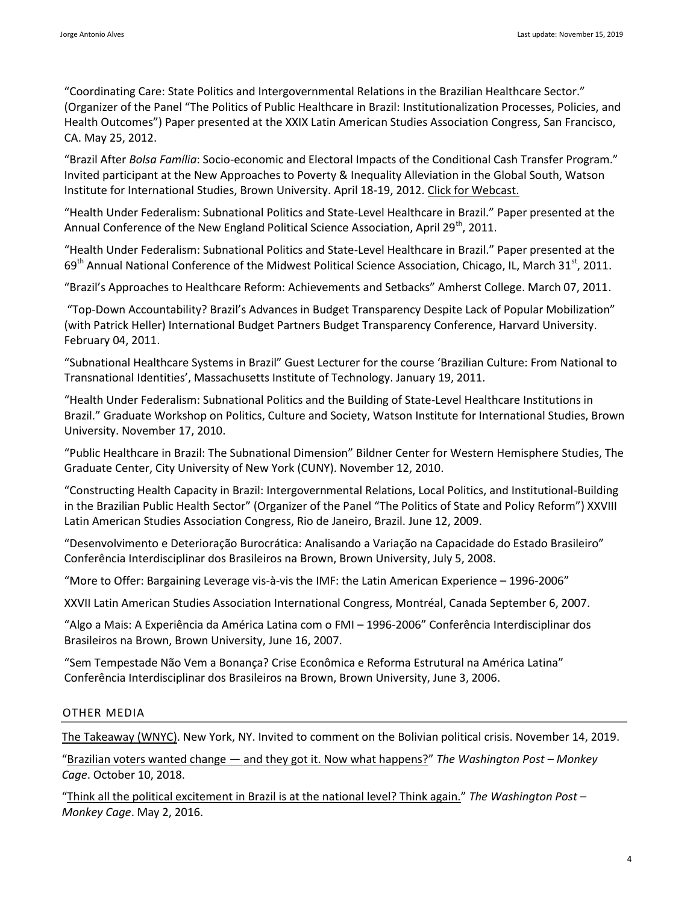"Coordinating Care: State Politics and Intergovernmental Relations in the Brazilian Healthcare Sector." (Organizer of the Panel "The Politics of Public Healthcare in Brazil: Institutionalization Processes, Policies, and Health Outcomes") Paper presented at the XXIX Latin American Studies Association Congress, San Francisco, CA. May 25, 2012.

"Brazil After *Bolsa Família*: Socio-economic and Electoral Impacts of the Conditional Cash Transfer Program." Invited participant at the New Approaches to Poverty & Inequality Alleviation in the Global South, Watson Institute for International Studies, Brown University. April 18-19, 2012[. Click for Webcast.](http://mediacapture.brown.edu:8080/ess/echo/presentation/f6479cee-3cba-47de-abef-963da4dcd742)

"Health Under Federalism: Subnational Politics and State-Level Healthcare in Brazil." Paper presented at the Annual Conference of the New England Political Science Association, April 29<sup>th</sup>, 2011.

"Health Under Federalism: Subnational Politics and State-Level Healthcare in Brazil." Paper presented at the 69<sup>th</sup> Annual National Conference of the Midwest Political Science Association, Chicago, IL, March 31<sup>st</sup>, 2011.

"Brazil's Approaches to Healthcare Reform: Achievements and Setbacks" Amherst College. March 07, 2011.

"Top-Down Accountability? Brazil's Advances in Budget Transparency Despite Lack of Popular Mobilization" (with Patrick Heller) International Budget Partners Budget Transparency Conference, Harvard University. February 04, 2011.

"Subnational Healthcare Systems in Brazil" Guest Lecturer for the course 'Brazilian Culture: From National to Transnational Identities', Massachusetts Institute of Technology. January 19, 2011.

"Health Under Federalism: Subnational Politics and the Building of State-Level Healthcare Institutions in Brazil." Graduate Workshop on Politics, Culture and Society, Watson Institute for International Studies, Brown University. November 17, 2010.

"Public Healthcare in Brazil: The Subnational Dimension" Bildner Center for Western Hemisphere Studies, The Graduate Center, City University of New York (CUNY). November 12, 2010.

"Constructing Health Capacity in Brazil: Intergovernmental Relations, Local Politics, and Institutional-Building in the Brazilian Public Health Sector" (Organizer of the Panel "The Politics of State and Policy Reform") XXVIII Latin American Studies Association Congress, Rio de Janeiro, Brazil. June 12, 2009.

"Desenvolvimento e Deterioração Burocrática: Analisando a Variação na Capacidade do Estado Brasileiro" Conferência Interdisciplinar dos Brasileiros na Brown, Brown University, July 5, 2008.

"More to Offer: Bargaining Leverage vis-à-vis the IMF: the Latin American Experience – 1996-2006"

XXVII Latin American Studies Association International Congress, Montréal, Canada September 6, 2007.

"Algo a Mais: A Experiência da América Latina com o FMI – 1996-2006" Conferência Interdisciplinar dos Brasileiros na Brown, Brown University, June 16, 2007.

"Sem Tempestade Não Vem a Bonança? Crise Econômica e Reforma Estrutural na América Latina" Conferência Interdisciplinar dos Brasileiros na Brown, Brown University, June 3, 2006.

# OTHER MEDIA

[The Takeaway \(WNYC\).](https://www.wnycstudios.org/podcasts/takeaway/segments/evo-morales-resignation-bolivia) New York, NY. Invited to comment on the Bolivian political crisis. November 14, 2019.

"Brazilian voters wanted change — [and they got it. Now what happens?](https://www.washingtonpost.com/news/monkey-cage/wp/2018/10/10/brazilian-voters-wanted-change-and-they-got-it-now-what-happens/)" *The Washington Post – Monkey Cage*. October 10, 2018.

"[Think all the political excitement in Brazil is at the national level? Think again.](https://www.washingtonpost.com/news/monkey-cage/wp/2016/05/02/think-all-the-political-excitement-in-brazil-is-at-the-national-level-think-again/)" *The Washington Post – Monkey Cage*. May 2, 2016.